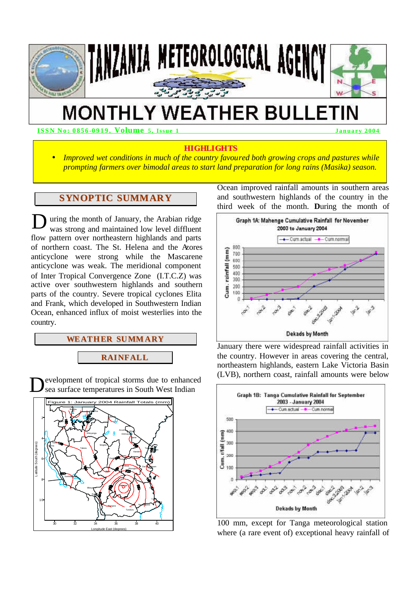

# **MONTHLY WEATHER BULLETIN**

**ISSN No: 0856 -0919, Volume 5, Issue 1 January 2004** 

## **HIGHLIGHTS**

• *Improved wet conditions in much of the country favoured both growing crops and pastures while prompting farmers over bimodal areas to start land preparation for long rains (Masika) season.*

## **SYNOPTIC SUMMARY**

uring the month of January, the Arabian ridge was strong and maintained low level diffluent flow pattern over northeastern highlands and parts of northern coast. The St. Helena and the Azores anticyclone were strong while the Mascarene anticyclone was weak. The meridional component of Inter Tropical Convergence Zone (I.T.C.Z) was active over southwestern highlands and southern parts of the country. Severe tropical cyclones Elita and Frank, which developed in Southwestern Indian Ocean, enhanced influx of moist westerlies into the country. D

## **WEATHER SUMMARY**

**RAINFALL**

evelopment of tropical storms due to enhanced sea surface temperatures in South West Indian D



Ocean improved rainfall amounts in southern areas and southwestern highlands of the country in the third week of the month. **D**uring the month of



January there were widespread rainfall activities in the country. However in areas covering the central, northeastern highlands, eastern Lake Victoria Basin (LVB), northern coast, rainfall amounts were below



100 mm, except for Tanga meteorological station where (a rare event of) exceptional heavy rainfall of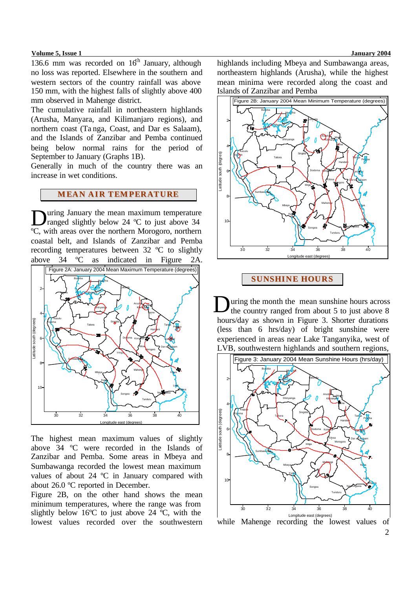#### **Volume 5, Issue 1 January 2004**

136.6 mm was recorded on  $16<sup>th</sup>$  January, although no loss was reported. Elsewhere in the southern and western sectors of the country rainfall was above 150 mm, with the highest falls of slightly above 400 mm observed in Mahenge district.

The cumulative rainfall in northeastern highlands (Arusha, Manyara, and Kilimanjaro regions), and northern coast (Ta nga, Coast, and Dar es Salaam), and the Islands of Zanzibar and Pemba continued being below normal rains for the period of September to January (Graphs 1B).

Generally in much of the country there was an increase in wet conditions.

## **MEAN AIR TEMPERATURE**

uring January the mean maximum temperature ranged slightly below 24 °C to just above 34 **D**uring January the mean maximum temperature<br>
ranged slightly below 24 °C to just above 34<br>
°C, with areas over the northern Morogoro, northern coastal belt, and Islands of Zanzibar and Pemba recording temperatures between 32 ºC to slightly above 34 ºC as indicated in Figure 2A. Figure 2A: January 2004 Mean Maximum Temperature (degrees)



The highest mean maximum values of slightly above 34 ºC were recorded in the Islands of Zanzibar and Pemba. Some areas in Mbeya and Sumbawanga recorded the lowest mean maximum values of about 24 ºC in January compared with about 26.0 ºC reported in December.

Figure 2B, on the other hand shows the mean minimum temperatures, where the range was from slightly below 16ºC to just above 24 ºC, with the lowest values recorded over the southwestern highlands including Mbeya and Sumbawanga areas, northeastern highlands (Arusha), while the highest mean minima were recorded along the coast and Islands of Zanzibar and Pemba



## **SUNSHINE HOURS**

uring the month the mean sunshine hours across the country ranged from about 5 to just above 8 hours/day as shown in Figure 3. Shorter durations (less than 6 hrs/day) of bright sunshine were experienced in areas near Lake Tanganyika, west of LVB, southwestern highlands and southern regions, D



while Mahenge recording the lowest values of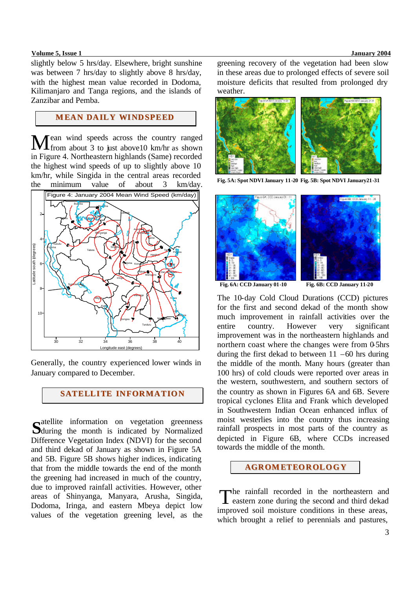### **Volume 5, Issue 1 January 2004**

slightly below 5 hrs/day. Elsewhere, bright sunshine was between 7 hrs/day to slightly above 8 hrs/day, with the highest mean value recorded in Dodoma, Kilimanjaro and Tanga regions, and the islands of Zanzibar and Pemba.

# **MEAN DAILY WINDSPEED**

Mean wind speeds across the country ranged<br>
Mean about 3 to just above 10 km/hr as shown **I** from about 3 to just above 10 km/hr as shown in Figure 4. Northeastern highlands (Same) recorded the highest wind speeds of up to slightly above 10 km/hr, while Singida in the central areas recorded the minimum value of about 3 km/day.



Generally, the country experienced lower winds in January compared to December.

## **SATELLITE INFORMATION**

catellite information on vegetation greenness **S**during the month is indicated by Normalized Difference Vegetation Index (NDVI) for the second and third dekad of January as shown in Figure 5A and 5B. Figure 5B shows higher indices, indicating that from the middle towards the end of the month the greening had increased in much of the country, due to improved rainfall activities. However, other areas of Shinyanga, Manyara, Arusha, Singida, Dodoma, Iringa, and eastern Mbeya depict low values of the vegetation greening level, as the greening recovery of the vegetation had been slow in these areas due to prolonged effects of severe soil moisture deficits that resulted from prolonged dry weather.



**Fig. 5A: Spot NDVI January 11-20 Fig. 5B: Spot NDVI January21-31** 



**Fig. 6A: CCD January 01-10 Fig. 6B: CCD January 11-20**

The 10-day Cold Cloud Durations (CCD) pictures for the first and second dekad of the month show much improvement in rainfall activities over the entire country. However very significant improvement was in the northeastern highlands and northern coast where the changes were from  $0.5$ hrs during the first dekad to between  $11 - 60$  hrs during the middle of the month. Many hours (greater than 100 hrs) of cold clouds were reported over areas in the western, southwestern, and southern sectors of the country as shown in Figures 6A and 6B. Severe tropical cyclones Elita and Frank which developed in Southwestern Indian Ocean enhanced influx of moist westerlies into the country thus increasing rainfall prospects in most parts of the country as depicted in Figure 6B, where CCDs increased towards the middle of the month.

## **AGROMETEOROLOGY**

The rainfall recorded in the northeastern and<br>eastern zone during the second and third dekad eastern zone during the second and third dekad improved soil moisture conditions in these areas, which brought a relief to perennials and pastures,